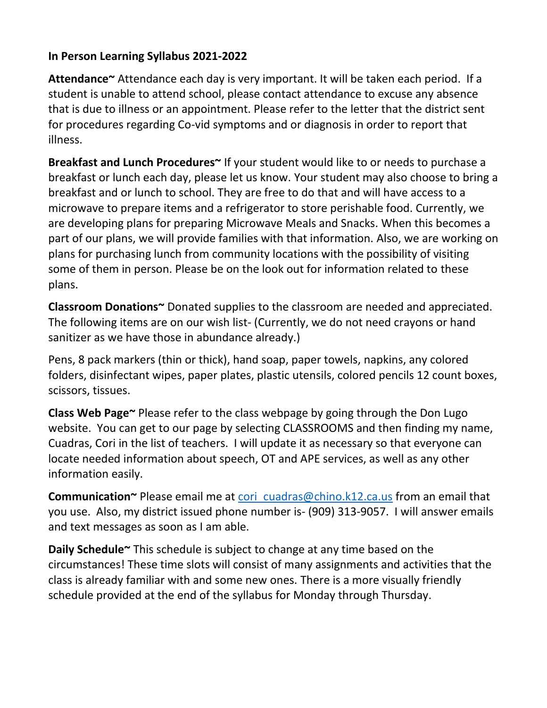## **In Person Learning Syllabus 2021-2022**

**Attendance~** Attendance each day is very important. It will be taken each period. If a student is unable to attend school, please contact attendance to excuse any absence that is due to illness or an appointment. Please refer to the letter that the district sent for procedures regarding Co-vid symptoms and or diagnosis in order to report that illness.

**Breakfast and Lunch Procedures~** If your student would like to or needs to purchase a breakfast or lunch each day, please let us know. Your student may also choose to bring a breakfast and or lunch to school. They are free to do that and will have access to a microwave to prepare items and a refrigerator to store perishable food. Currently, we are developing plans for preparing Microwave Meals and Snacks. When this becomes a part of our plans, we will provide families with that information. Also, we are working on plans for purchasing lunch from community locations with the possibility of visiting some of them in person. Please be on the look out for information related to these plans.

**Classroom Donations~** Donated supplies to the classroom are needed and appreciated. The following items are on our wish list- (Currently, we do not need crayons or hand sanitizer as we have those in abundance already.)

Pens, 8 pack markers (thin or thick), hand soap, paper towels, napkins, any colored folders, disinfectant wipes, paper plates, plastic utensils, colored pencils 12 count boxes, scissors, tissues.

**Class Web Page~** Please refer to the class webpage by going through the Don Lugo website. You can get to our page by selecting CLASSROOMS and then finding my name, Cuadras, Cori in the list of teachers. I will update it as necessary so that everyone can locate needed information about speech, OT and APE services, as well as any other information easily.

**Communication~** Please email me at [cori\\_cuadras@chino.k12.ca.us](mailto:cori_cuadras@chino.k12.ca.us) from an email that you use. Also, my district issued phone number is- (909) 313-9057. I will answer emails and text messages as soon as I am able.

**Daily Schedule~** This schedule is subject to change at any time based on the circumstances! These time slots will consist of many assignments and activities that the class is already familiar with and some new ones. There is a more visually friendly schedule provided at the end of the syllabus for Monday through Thursday.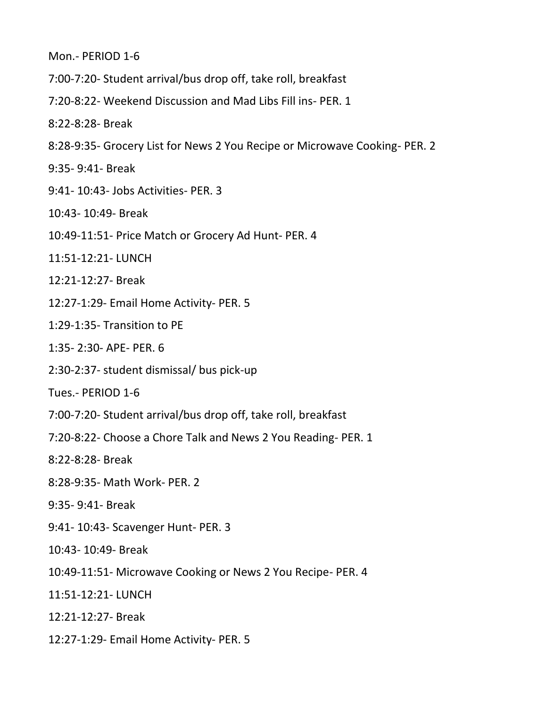Mon.- PERIOD 1-6

7:00-7:20- Student arrival/bus drop off, take roll, breakfast

7:20-8:22- Weekend Discussion and Mad Libs Fill ins- PER. 1

8:22-8:28- Break

8:28-9:35- Grocery List for News 2 You Recipe or Microwave Cooking- PER. 2

9:35- 9:41- Break

9:41- 10:43- Jobs Activities- PER. 3

10:43- 10:49- Break

10:49-11:51- Price Match or Grocery Ad Hunt- PER. 4

11:51-12:21- LUNCH

12:21-12:27- Break

12:27-1:29- Email Home Activity- PER. 5

1:29-1:35- Transition to PE

1:35- 2:30- APE- PER. 6

2:30-2:37- student dismissal/ bus pick-up

Tues.- PERIOD 1-6

- 7:00-7:20- Student arrival/bus drop off, take roll, breakfast
- 7:20-8:22- Choose a Chore Talk and News 2 You Reading- PER. 1

8:22-8:28- Break

8:28-9:35- Math Work- PER. 2

9:35- 9:41- Break

9:41- 10:43- Scavenger Hunt- PER. 3

10:43- 10:49- Break

10:49-11:51- Microwave Cooking or News 2 You Recipe- PER. 4

11:51-12:21- LUNCH

12:21-12:27- Break

12:27-1:29- Email Home Activity- PER. 5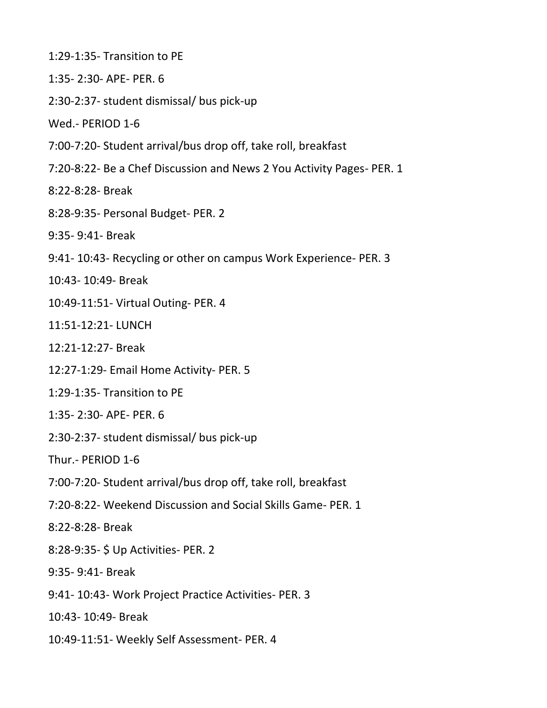- 1:29-1:35- Transition to PE
- 1:35- 2:30- APE- PER. 6
- 2:30-2:37- student dismissal/ bus pick-up

Wed.- PERIOD 1-6

- 7:00-7:20- Student arrival/bus drop off, take roll, breakfast
- 7:20-8:22- Be a Chef Discussion and News 2 You Activity Pages- PER. 1
- 8:22-8:28- Break
- 8:28-9:35- Personal Budget- PER. 2
- 9:35- 9:41- Break
- 9:41- 10:43- Recycling or other on campus Work Experience- PER. 3
- 10:43- 10:49- Break
- 10:49-11:51- Virtual Outing- PER. 4
- 11:51-12:21- LUNCH
- 12:21-12:27- Break
- 12:27-1:29- Email Home Activity- PER. 5
- 1:29-1:35- Transition to PE
- 1:35- 2:30- APE- PER. 6
- 2:30-2:37- student dismissal/ bus pick-up
- Thur.- PERIOD 1-6
- 7:00-7:20- Student arrival/bus drop off, take roll, breakfast
- 7:20-8:22- Weekend Discussion and Social Skills Game- PER. 1
- 8:22-8:28- Break
- 8:28-9:35- \$ Up Activities- PER. 2
- 9:35- 9:41- Break
- 9:41- 10:43- Work Project Practice Activities- PER. 3
- 10:43- 10:49- Break
- 10:49-11:51- Weekly Self Assessment- PER. 4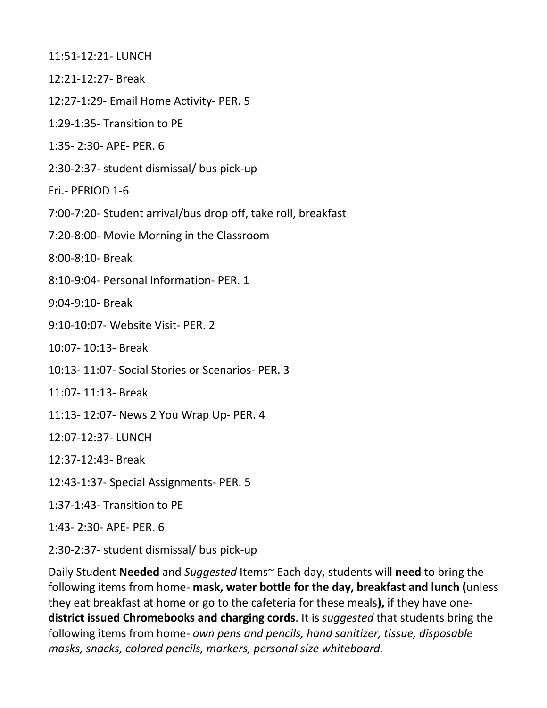11:51-12:21- LUNCH

- 12:21-12:27- Break
- 12:27-1:29- Email Home Activity- PER. 5
- 1:29-1:35- Transition to PE
- 1:35- 2:30- APE- PER. 6
- 2:30-2:37- student dismissal/ bus pick-up
- Fri.- PERIOD 1-6
- 7:00-7:20- Student arrival/bus drop off, take roll, breakfast
- 7:20-8:00- Movie Morning in the Classroom
- 8:00-8:10- Break
- 8:10-9:04- Personal Information- PER. 1
- 9:04-9:10- Break
- 9:10-10:07- Website Visit- PER. 2
- 10:07- 10:13- Break
- 10:13- 11:07- Social Stories or Scenarios- PER. 3
- 11:07- 11:13- Break
- 11:13- 12:07- News 2 You Wrap Up- PER. 4
- 12:07-12:37- LUNCH
- 12:37-12:43- Break
- 12:43-1:37- Special Assignments- PER. 5
- 1:37-1:43- Transition to PE
- 1:43- 2:30- APE- PER. 6
- 2:30-2:37- student dismissal/ bus pick-up

Daily Student **Needed** and *Suggested* Items~ Each day, students will **need** to bring the following items from home- **mask, water bottle for the day, breakfast and lunch (**unless they eat breakfast at home or go to the cafeteria for these meals**),** if they have one**district issued Chromebooks and charging cords**. It is *suggested* that students bring the following items from home- *own pens and pencils, hand sanitizer, tissue, disposable masks, snacks, colored pencils, markers, personal size whiteboard.*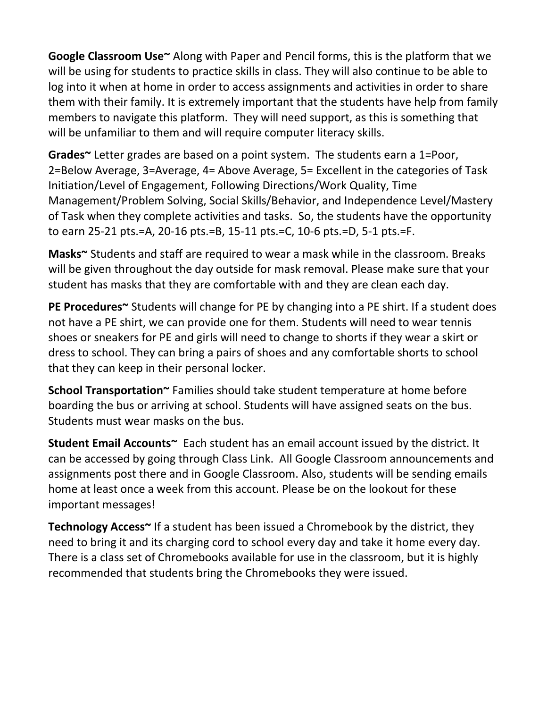**Google Classroom Use~** Along with Paper and Pencil forms, this is the platform that we will be using for students to practice skills in class. They will also continue to be able to log into it when at home in order to access assignments and activities in order to share them with their family. It is extremely important that the students have help from family members to navigate this platform. They will need support, as this is something that will be unfamiliar to them and will require computer literacy skills.

**Grades~** Letter grades are based on a point system. The students earn a 1=Poor, 2=Below Average, 3=Average, 4= Above Average, 5= Excellent in the categories of Task Initiation/Level of Engagement, Following Directions/Work Quality, Time Management/Problem Solving, Social Skills/Behavior, and Independence Level/Mastery of Task when they complete activities and tasks. So, the students have the opportunity to earn 25-21 pts.=A, 20-16 pts.=B, 15-11 pts.=C, 10-6 pts.=D, 5-1 pts.=F.

**Masks~** Students and staff are required to wear a mask while in the classroom. Breaks will be given throughout the day outside for mask removal. Please make sure that your student has masks that they are comfortable with and they are clean each day.

**PE Procedures~** Students will change for PE by changing into a PE shirt. If a student does not have a PE shirt, we can provide one for them. Students will need to wear tennis shoes or sneakers for PE and girls will need to change to shorts if they wear a skirt or dress to school. They can bring a pairs of shoes and any comfortable shorts to school that they can keep in their personal locker.

**School Transportation~** Families should take student temperature at home before boarding the bus or arriving at school. Students will have assigned seats on the bus. Students must wear masks on the bus.

**Student Email Accounts~** Each student has an email account issued by the district. It can be accessed by going through Class Link. All Google Classroom announcements and assignments post there and in Google Classroom. Also, students will be sending emails home at least once a week from this account. Please be on the lookout for these important messages!

**Technology Access~** If a student has been issued a Chromebook by the district, they need to bring it and its charging cord to school every day and take it home every day. There is a class set of Chromebooks available for use in the classroom, but it is highly recommended that students bring the Chromebooks they were issued.